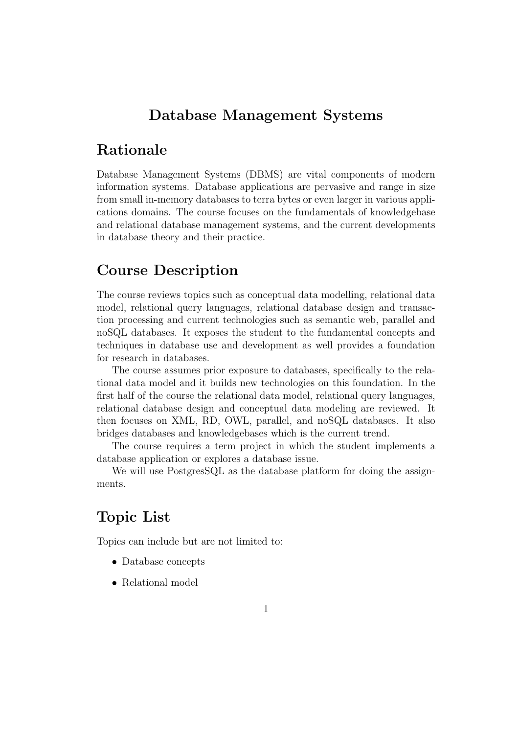## Database Management Systems

## Rationale

Database Management Systems (DBMS) are vital components of modern information systems. Database applications are pervasive and range in size from small in-memory databases to terra bytes or even larger in various applications domains. The course focuses on the fundamentals of knowledgebase and relational database management systems, and the current developments in database theory and their practice.

# Course Description

The course reviews topics such as conceptual data modelling, relational data model, relational query languages, relational database design and transaction processing and current technologies such as semantic web, parallel and noSQL databases. It exposes the student to the fundamental concepts and techniques in database use and development as well provides a foundation for research in databases.

The course assumes prior exposure to databases, specifically to the relational data model and it builds new technologies on this foundation. In the first half of the course the relational data model, relational query languages, relational database design and conceptual data modeling are reviewed. It then focuses on XML, RD, OWL, parallel, and noSQL databases. It also bridges databases and knowledgebases which is the current trend.

The course requires a term project in which the student implements a database application or explores a database issue.

We will use PostgresSQL as the database platform for doing the assignments.

## Topic List

Topics can include but are not limited to:

- Database concepts
- Relational model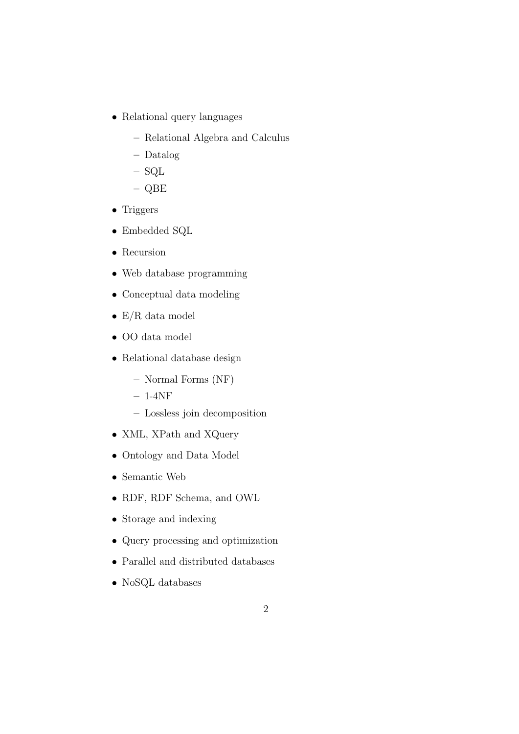- Relational query languages
	- Relational Algebra and Calculus
	- Datalog
	- SQL
	- QBE
- Triggers
- Embedded SQL
- Recursion
- Web database programming
- Conceptual data modeling
- $E/R$  data model
- OO data model
- Relational database design
	- Normal Forms (NF)
	- $-1-4NF$
	- Lossless join decomposition
- XML, XPath and XQuery
- Ontology and Data Model
- Semantic Web
- RDF, RDF Schema, and OWL
- Storage and indexing
- Query processing and optimization
- Parallel and distributed databases
- NoSQL databases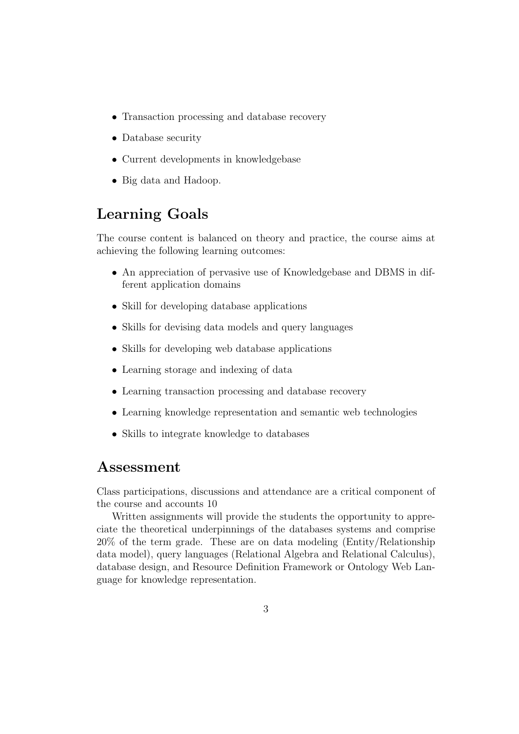- Transaction processing and database recovery
- Database security
- Current developments in knowledgebase
- Big data and Hadoop.

# Learning Goals

The course content is balanced on theory and practice, the course aims at achieving the following learning outcomes:

- An appreciation of pervasive use of Knowledgebase and DBMS in different application domains
- Skill for developing database applications
- Skills for devising data models and query languages
- Skills for developing web database applications
- Learning storage and indexing of data
- Learning transaction processing and database recovery
- Learning knowledge representation and semantic web technologies
- Skills to integrate knowledge to databases

#### Assessment

Class participations, discussions and attendance are a critical component of the course and accounts 10

Written assignments will provide the students the opportunity to appreciate the theoretical underpinnings of the databases systems and comprise 20% of the term grade. These are on data modeling (Entity/Relationship data model), query languages (Relational Algebra and Relational Calculus), database design, and Resource Definition Framework or Ontology Web Language for knowledge representation.